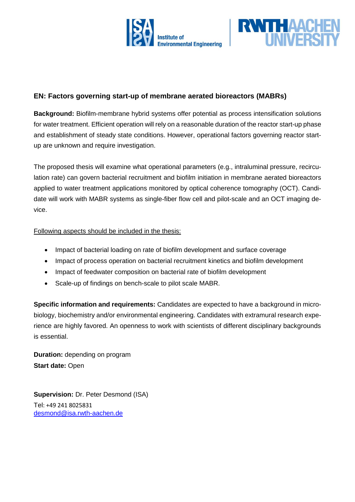



## **EN: Factors governing start-up of membrane aerated bioreactors (MABRs)**

**Background:** Biofilm-membrane hybrid systems offer potential as process intensification solutions for water treatment. Efficient operation will rely on a reasonable duration of the reactor start-up phase and establishment of steady state conditions. However, operational factors governing reactor startup are unknown and require investigation.

The proposed thesis will examine what operational parameters (e.g., intraluminal pressure, recirculation rate) can govern bacterial recruitment and biofilm initiation in membrane aerated bioreactors applied to water treatment applications monitored by optical coherence tomography (OCT). Candidate will work with MABR systems as single-fiber flow cell and pilot-scale and an OCT imaging device.

## Following aspects should be included in the thesis:

- Impact of bacterial loading on rate of biofilm development and surface coverage
- Impact of process operation on bacterial recruitment kinetics and biofilm development
- Impact of feedwater composition on bacterial rate of biofilm development
- Scale-up of findings on bench-scale to pilot scale MABR.

**Specific information and requirements:** Candidates are expected to have a background in microbiology, biochemistry and/or environmental engineering. Candidates with extramural research experience are highly favored. An openness to work with scientists of different disciplinary backgrounds is essential.

**Duration:** depending on program **Start date:** Open

**Supervision:** Dr. Peter Desmond (ISA) Tel: +49 241 8025831 [desmond@isa.rwth-aachen.de](mailto:desmond@isa.rwth-aachen.de)